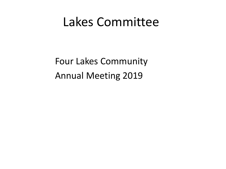# Lakes Committee

Four Lakes Community Annual Meeting 2019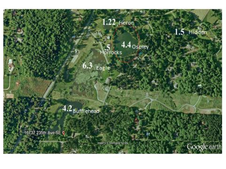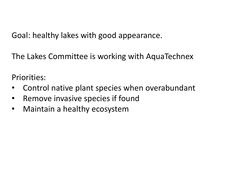Goal: healthy lakes with good appearance.

The Lakes Committee is working with AquaTechnex

Priorities:

- Control native plant species when overabundant
- Remove invasive species if found
- Maintain a healthy ecosystem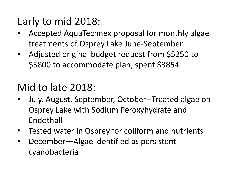## Early to mid 2018:

- Accepted AquaTechnex proposal for monthly algae treatments of Osprey Lake June-September
- Adjusted original budget request from \$5250 to \$5800 to accommodate plan; spent \$3854.

### Mid to late 2018:

- July, August, September, October--Treated algae on Osprey Lake with Sodium Peroxyhydrate and Endothall
- Tested water in Osprey for coliform and nutrients
- December—Algae identified as persistent cyanobacteria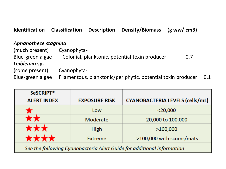**Identification Classification Description Density/Biomass (g ww/ cm3)** 

#### *Aphanothece stagnina*

(much present) Cyanophyta-Blue-green algae Colonial, planktonic, potential toxin producer 0.7 *Leibleinia* **sp.**  (some present) Cyanophyta-Blue-green algae Filamentous, planktonic/periphytic, potential toxin producer 0.1

| SeSCRIPT*                                                              |                      |                                        |
|------------------------------------------------------------------------|----------------------|----------------------------------------|
| <b>ALERT INDEX</b>                                                     | <b>EXPOSURE RISK</b> | <b>CYANOBACTERIA LEVELS (cells/mL)</b> |
|                                                                        | Low                  | $<$ 20,000                             |
| **                                                                     | Moderate             | 20,000 to 100,000                      |
| ***                                                                    | <b>High</b>          | >100,000                               |
| ****                                                                   | <b>Extreme</b>       | >100,000 with scums/mats               |
| See the following Cyanobacteria Alert Guide for additional information |                      |                                        |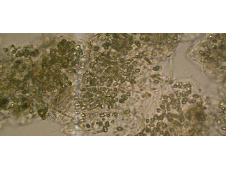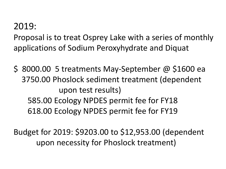### 2019:

Proposal is to treat Osprey Lake with a series of monthly applications of Sodium Peroxyhydrate and Diquat

\$ 8000.00 5 treatments May-September @ \$1600 ea 3750.00 Phoslock sediment treatment (dependent upon test results) 585.00 Ecology NPDES permit fee for FY18 618.00 Ecology NPDES permit fee for FY19

Budget for 2019: \$9203.00 to \$12,953.00 (dependent upon necessity for Phoslock treatment)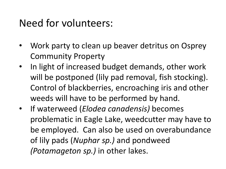### Need for volunteers:

- Work party to clean up beaver detritus on Osprey Community Property
- In light of increased budget demands, other work will be postponed (lily pad removal, fish stocking). Control of blackberries, encroaching iris and other weeds will have to be performed by hand.
- If waterweed (*Elodea canadensis)* becomes problematic in Eagle Lake, weedcutter may have to be employed. Can also be used on overabundance of lily pads (*Nuphar sp.)* and pondweed *(Potamageton sp.)* in other lakes.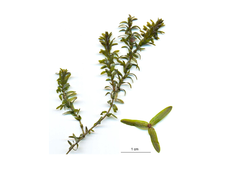